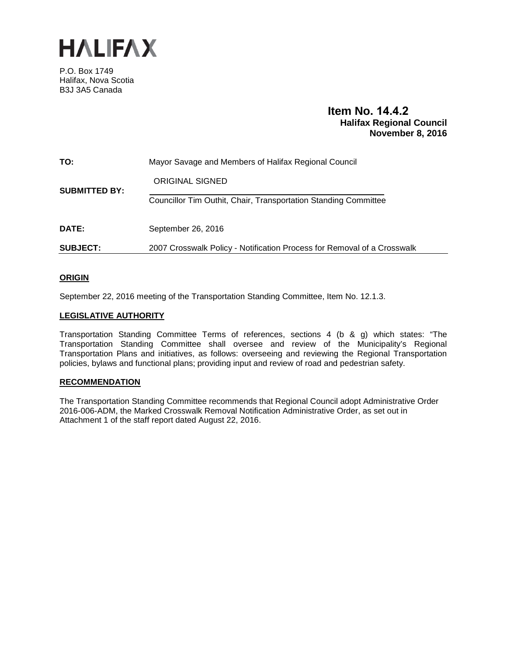

P.O. Box 1749 Halifax, Nova Scotia B3J 3A5 Canada

# **Item No. 14.4.2 Halifax Regional Council November 8, 2016**

| TO:                  | Mayor Savage and Members of Halifax Regional Council                    |
|----------------------|-------------------------------------------------------------------------|
| <b>SUBMITTED BY:</b> | ORIGINAL SIGNED                                                         |
|                      | Councillor Tim Outhit, Chair, Transportation Standing Committee         |
| <b>DATE:</b>         | September 26, 2016                                                      |
| <b>SUBJECT:</b>      | 2007 Crosswalk Policy - Notification Process for Removal of a Crosswalk |

## **ORIGIN**

September 22, 2016 meeting of the Transportation Standing Committee, Item No. 12.1.3.

## **LEGISLATIVE AUTHORITY**

Transportation Standing Committee Terms of references, sections 4 (b & g) which states: "The Transportation Standing Committee shall oversee and review of the Municipality's Regional Transportation Plans and initiatives, as follows: overseeing and reviewing the Regional Transportation policies, bylaws and functional plans; providing input and review of road and pedestrian safety.

#### **RECOMMENDATION**

The Transportation Standing Committee recommends that Regional Council adopt Administrative Order 2016-006-ADM, the Marked Crosswalk Removal Notification Administrative Order, as set out in Attachment 1 of the staff report dated August 22, 2016.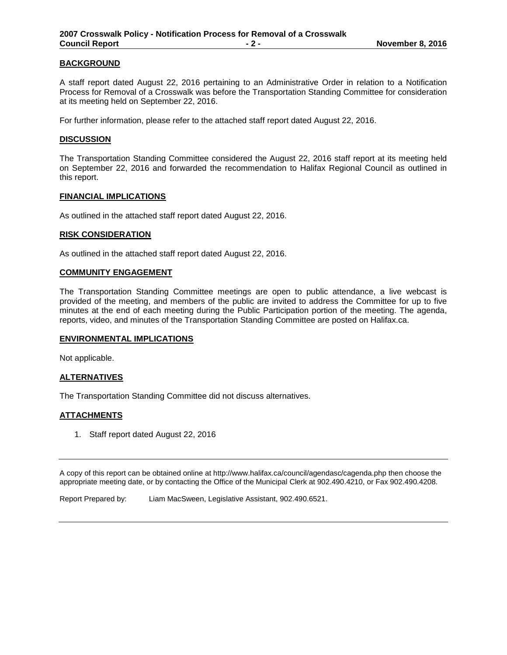#### **BACKGROUND**

A staff report dated August 22, 2016 pertaining to an Administrative Order in relation to a Notification Process for Removal of a Crosswalk was before the Transportation Standing Committee for consideration at its meeting held on September 22, 2016.

For further information, please refer to the attached staff report dated August 22, 2016.

#### **DISCUSSION**

The Transportation Standing Committee considered the August 22, 2016 staff report at its meeting held on September 22, 2016 and forwarded the recommendation to Halifax Regional Council as outlined in this report.

#### **FINANCIAL IMPLICATIONS**

As outlined in the attached staff report dated August 22, 2016.

#### **RISK CONSIDERATION**

As outlined in the attached staff report dated August 22, 2016.

#### **COMMUNITY ENGAGEMENT**

The Transportation Standing Committee meetings are open to public attendance, a live webcast is provided of the meeting, and members of the public are invited to address the Committee for up to five minutes at the end of each meeting during the Public Participation portion of the meeting. The agenda, reports, video, and minutes of the Transportation Standing Committee are posted on Halifax.ca.

#### **ENVIRONMENTAL IMPLICATIONS**

Not applicable.

#### **ALTERNATIVES**

The Transportation Standing Committee did not discuss alternatives.

#### **ATTACHMENTS**

1. Staff report dated August 22, 2016

A copy of this report can be obtained online at http://www.halifax.ca/council/agendasc/cagenda.php then choose the appropriate meeting date, or by contacting the Office of the Municipal Clerk at 902.490.4210, or Fax 902.490.4208.

Report Prepared by: Liam MacSween, Legislative Assistant, 902.490.6521.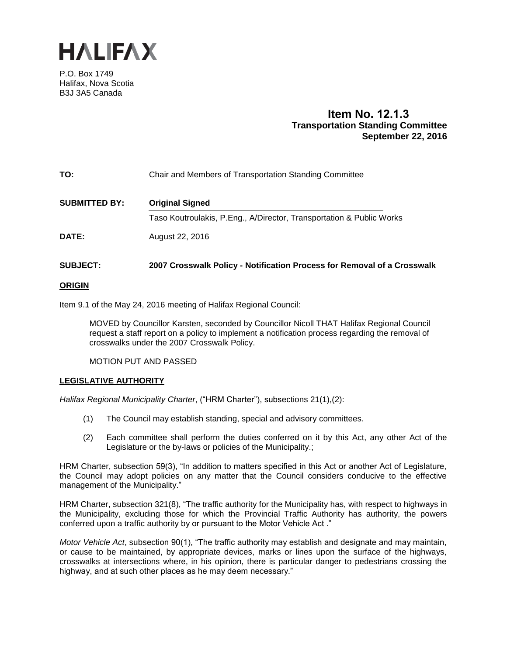

P.O. Box 1749 Halifax, Nova Scotia B3J 3A5 Canada

# **Item No. 12.1.3 Transportation Standing Committee September 22, 2016**

| TO:                  | Chair and Members of Transportation Standing Committee               |
|----------------------|----------------------------------------------------------------------|
| <b>SUBMITTED BY:</b> | <b>Original Signed</b>                                               |
|                      | Taso Koutroulakis, P.Eng., A/Director, Transportation & Public Works |
| <b>DATE:</b>         | August 22, 2016                                                      |
|                      |                                                                      |

# **SUBJECT: 2007 Crosswalk Policy - Notification Process for Removal of a Crosswalk**

#### **ORIGIN**

Item 9.1 of the May 24, 2016 meeting of Halifax Regional Council:

MOVED by Councillor Karsten, seconded by Councillor Nicoll THAT Halifax Regional Council request a staff report on a policy to implement a notification process regarding the removal of crosswalks under the 2007 Crosswalk Policy.

MOTION PUT AND PASSED

#### **LEGISLATIVE AUTHORITY**

*Halifax Regional Municipality Charter*, ("HRM Charter"), subsections 21(1),(2):

- (1) The Council may establish standing, special and advisory committees.
- (2) Each committee shall perform the duties conferred on it by this Act, any other Act of the Legislature or the by-laws or policies of the Municipality.;

HRM Charter, subsection 59(3), "In addition to matters specified in this Act or another Act of Legislature, the Council may adopt policies on any matter that the Council considers conducive to the effective management of the Municipality."

HRM Charter, subsection 321(8), "The traffic authority for the Municipality has, with respect to highways in the Municipality, excluding those for which the Provincial Traffic Authority has authority, the powers conferred upon a traffic authority by or pursuant to the Motor Vehicle Act ."

*Motor Vehicle Act*, subsection 90(1), "The traffic authority may establish and designate and may maintain, or cause to be maintained, by appropriate devices, marks or lines upon the surface of the highways, crosswalks at intersections where, in his opinion, there is particular danger to pedestrians crossing the highway, and at such other places as he may deem necessary."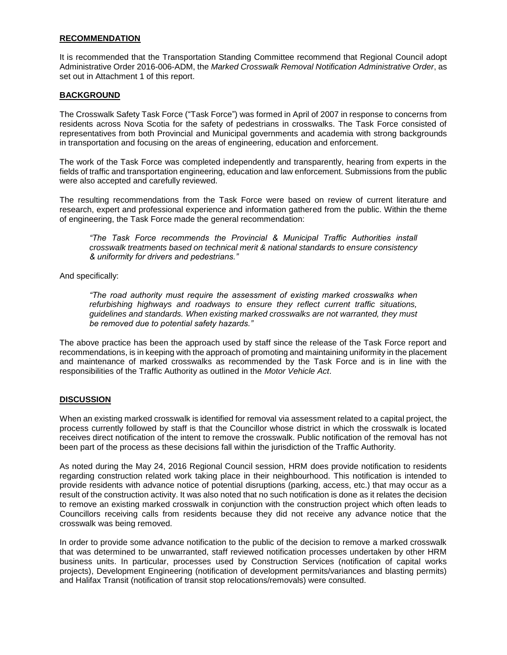#### **RECOMMENDATION**

It is recommended that the Transportation Standing Committee recommend that Regional Council adopt Administrative Order 2016-006-ADM, the *Marked Crosswalk Removal Notification Administrative Order*, as set out in Attachment 1 of this report.

#### **BACKGROUND**

The Crosswalk Safety Task Force ("Task Force") was formed in April of 2007 in response to concerns from residents across Nova Scotia for the safety of pedestrians in crosswalks. The Task Force consisted of representatives from both Provincial and Municipal governments and academia with strong backgrounds in transportation and focusing on the areas of engineering, education and enforcement.

The work of the Task Force was completed independently and transparently, hearing from experts in the fields of traffic and transportation engineering, education and law enforcement. Submissions from the public were also accepted and carefully reviewed.

The resulting recommendations from the Task Force were based on review of current literature and research, expert and professional experience and information gathered from the public. Within the theme of engineering, the Task Force made the general recommendation:

*"The Task Force recommends the Provincial & Municipal Traffic Authorities install crosswalk treatments based on technical merit & national standards to ensure consistency & uniformity for drivers and pedestrians."*

And specifically:

*"The road authority must require the assessment of existing marked crosswalks when refurbishing highways and roadways to ensure they reflect current traffic situations, guidelines and standards. When existing marked crosswalks are not warranted, they must be removed due to potential safety hazards."*

The above practice has been the approach used by staff since the release of the Task Force report and recommendations, is in keeping with the approach of promoting and maintaining uniformity in the placement and maintenance of marked crosswalks as recommended by the Task Force and is in line with the responsibilities of the Traffic Authority as outlined in the *Motor Vehicle Act*.

## **DISCUSSION**

When an existing marked crosswalk is identified for removal via assessment related to a capital project, the process currently followed by staff is that the Councillor whose district in which the crosswalk is located receives direct notification of the intent to remove the crosswalk. Public notification of the removal has not been part of the process as these decisions fall within the jurisdiction of the Traffic Authority.

As noted during the May 24, 2016 Regional Council session, HRM does provide notification to residents regarding construction related work taking place in their neighbourhood. This notification is intended to provide residents with advance notice of potential disruptions (parking, access, etc.) that may occur as a result of the construction activity. It was also noted that no such notification is done as it relates the decision to remove an existing marked crosswalk in conjunction with the construction project which often leads to Councillors receiving calls from residents because they did not receive any advance notice that the crosswalk was being removed.

In order to provide some advance notification to the public of the decision to remove a marked crosswalk that was determined to be unwarranted, staff reviewed notification processes undertaken by other HRM business units. In particular, processes used by Construction Services (notification of capital works projects), Development Engineering (notification of development permits/variances and blasting permits) and Halifax Transit (notification of transit stop relocations/removals) were consulted.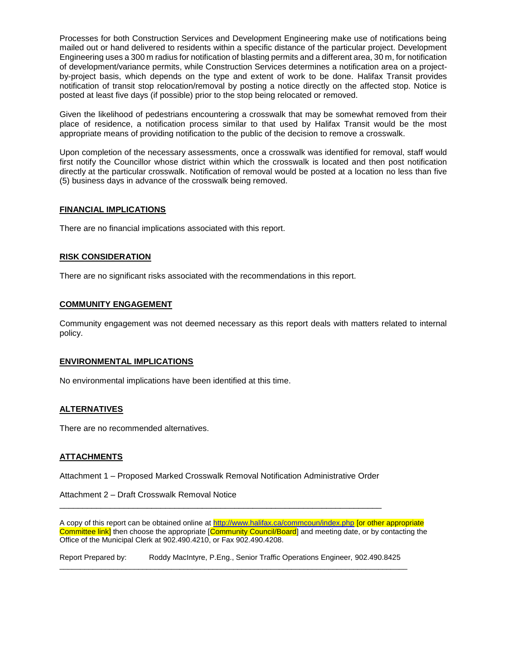Processes for both Construction Services and Development Engineering make use of notifications being mailed out or hand delivered to residents within a specific distance of the particular project. Development Engineering uses a 300 m radius for notification of blasting permits and a different area, 30 m, for notification of development/variance permits, while Construction Services determines a notification area on a projectby-project basis, which depends on the type and extent of work to be done. Halifax Transit provides notification of transit stop relocation/removal by posting a notice directly on the affected stop. Notice is posted at least five days (if possible) prior to the stop being relocated or removed.

Given the likelihood of pedestrians encountering a crosswalk that may be somewhat removed from their place of residence, a notification process similar to that used by Halifax Transit would be the most appropriate means of providing notification to the public of the decision to remove a crosswalk.

Upon completion of the necessary assessments, once a crosswalk was identified for removal, staff would first notify the Councillor whose district within which the crosswalk is located and then post notification directly at the particular crosswalk. Notification of removal would be posted at a location no less than five (5) business days in advance of the crosswalk being removed.

#### **FINANCIAL IMPLICATIONS**

There are no financial implications associated with this report.

#### **RISK CONSIDERATION**

There are no significant risks associated with the recommendations in this report.

#### **COMMUNITY ENGAGEMENT**

Community engagement was not deemed necessary as this report deals with matters related to internal policy.

#### **ENVIRONMENTAL IMPLICATIONS**

No environmental implications have been identified at this time.

#### **ALTERNATIVES**

There are no recommended alternatives.

#### **ATTACHMENTS**

Attachment 1 – Proposed Marked Crosswalk Removal Notification Administrative Order

\_\_\_\_\_\_\_\_\_\_\_\_\_\_\_\_\_\_\_\_\_\_\_\_\_\_\_\_\_\_\_\_\_\_\_\_\_\_\_\_\_\_\_\_\_\_\_\_\_\_\_\_\_\_\_\_\_\_\_\_\_\_\_\_\_\_\_\_\_\_

Attachment 2 – Draft Crosswalk Removal Notice

A copy of this report can be obtained online a[t http://www.halifax.ca/commcoun/index.php](http://www.halifax.ca/commcoun/index.php) [or other appropriate Committee link] then choose the appropriate [Community Council/Board] and meeting date, or by contacting the Office of the Municipal Clerk at 902.490.4210, or Fax 902.490.4208.

Report Prepared by: Roddy MacIntyre, P.Eng., Senior Traffic Operations Engineer, 902.490.8425 \_\_\_\_\_\_\_\_\_\_\_\_\_\_\_\_\_\_\_\_\_\_\_\_\_\_\_\_\_\_\_\_\_\_\_\_\_\_\_\_\_\_\_\_\_\_\_\_\_\_\_\_\_\_\_\_\_\_\_\_\_\_\_\_\_\_\_\_\_\_\_\_\_\_\_\_\_\_\_\_\_\_\_\_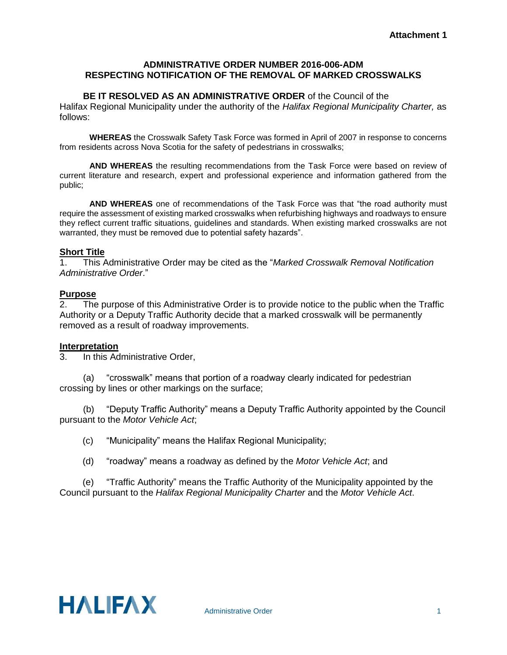# **ADMINISTRATIVE ORDER NUMBER 2016-006-ADM RESPECTING NOTIFICATION OF THE REMOVAL OF MARKED CROSSWALKS**

## **BE IT RESOLVED AS AN ADMINISTRATIVE ORDER** of the Council of the

Halifax Regional Municipality under the authority of the *Halifax Regional Municipality Charter,* as follows:

**WHEREAS** the Crosswalk Safety Task Force was formed in April of 2007 in response to concerns from residents across Nova Scotia for the safety of pedestrians in crosswalks;

**AND WHEREAS** the resulting recommendations from the Task Force were based on review of current literature and research, expert and professional experience and information gathered from the public;

**AND WHEREAS** one of recommendations of the Task Force was that "the road authority must require the assessment of existing marked crosswalks when refurbishing highways and roadways to ensure they reflect current traffic situations, guidelines and standards. When existing marked crosswalks are not warranted, they must be removed due to potential safety hazards".

# **Short Title**

1. This Administrative Order may be cited as the "*Marked Crosswalk Removal Notification Administrative Order*."

# **Purpose**

2. The purpose of this Administrative Order is to provide notice to the public when the Traffic Authority or a Deputy Traffic Authority decide that a marked crosswalk will be permanently removed as a result of roadway improvements.

# **Interpretation**<br>3. In this Ad

In this Administrative Order,

(a) "crosswalk" means that portion of a roadway clearly indicated for pedestrian crossing by lines or other markings on the surface;

(b) "Deputy Traffic Authority" means a Deputy Traffic Authority appointed by the Council pursuant to the *Motor Vehicle Act*;

- (c) "Municipality" means the Halifax Regional Municipality;
- (d) "roadway" means a roadway as defined by the *Motor Vehicle Act*; and

(e) "Traffic Authority" means the Traffic Authority of the Municipality appointed by the Council pursuant to the *Halifax Regional Municipality Charter* and the *Motor Vehicle Act*.

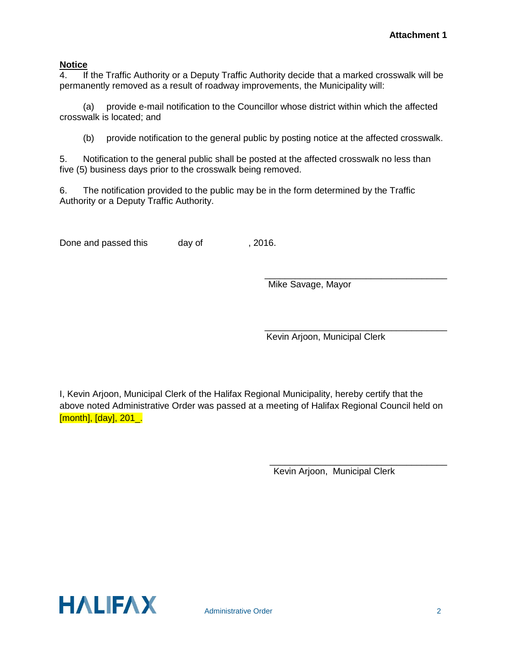# **Notice**<br> **4** If

 $\overline{\text{If}}$  the Traffic Authority or a Deputy Traffic Authority decide that a marked crosswalk will be permanently removed as a result of roadway improvements, the Municipality will:

(a) provide e-mail notification to the Councillor whose district within which the affected crosswalk is located; and

(b) provide notification to the general public by posting notice at the affected crosswalk.

5. Notification to the general public shall be posted at the affected crosswalk no less than five (5) business days prior to the crosswalk being removed.

6. The notification provided to the public may be in the form determined by the Traffic Authority or a Deputy Traffic Authority.

Done and passed this day of , 2016.

\_\_\_\_\_\_\_\_\_\_\_\_\_\_\_\_\_\_\_\_\_\_\_\_\_\_\_\_\_\_\_\_\_\_\_\_ Mike Savage, Mayor

\_\_\_\_\_\_\_\_\_\_\_\_\_\_\_\_\_\_\_\_\_\_\_\_\_\_\_\_\_\_\_\_\_\_\_\_ Kevin Arjoon, Municipal Clerk

I, Kevin Arjoon, Municipal Clerk of the Halifax Regional Municipality, hereby certify that the above noted Administrative Order was passed at a meeting of Halifax Regional Council held on [month], [day], 201\_.

> \_\_\_\_\_\_\_\_\_\_\_\_\_\_\_\_\_\_\_\_\_\_\_\_\_\_\_\_\_\_\_\_\_\_\_ Kevin Arjoon, Municipal Clerk